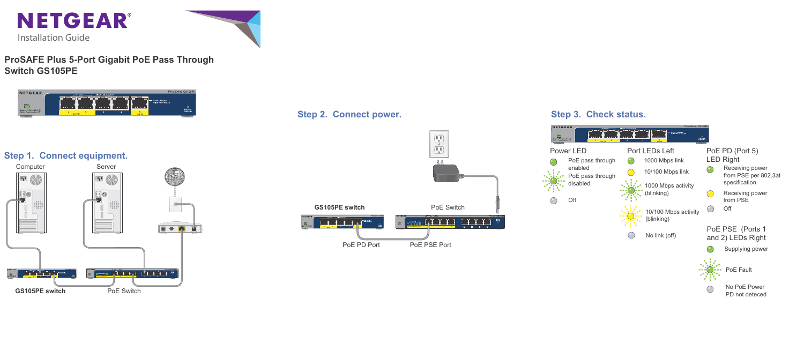

# **ProSAFE Plus 5-Port Gigabit PoE Pass Through Switch GS105PE**

**NETGEAR** Green = PoE plus<br>Yellow = Poe 802.3af  $\overline{\Box}$ Factory<br>Defaults Green = PoE pass-thru Or<br>Blink = Poe pass-thru Off

Off